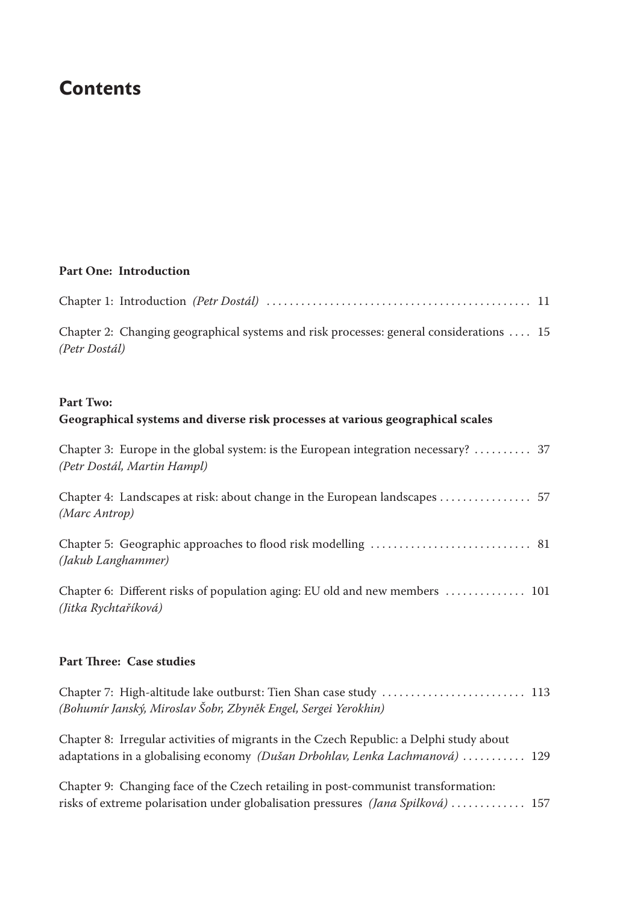# **Contents**

## **Part One: Introduction**

| Chapter 2: Changing geographical systems and risk processes: general considerations  15<br>(Petr Dostál)          |
|-------------------------------------------------------------------------------------------------------------------|
| <b>Part Two:</b><br>Geographical systems and diverse risk processes at various geographical scales                |
| Chapter 3: Europe in the global system: is the European integration necessary?  37<br>(Petr Dostál, Martin Hampl) |
| (Marc Antrop)                                                                                                     |
| (Jakub Langhammer)                                                                                                |
| Chapter 6: Different risks of population aging: EU old and new members  101<br>(Jitka Rychtaříková)               |
|                                                                                                                   |

#### **Part Three: Case studies**

| (Bohumír Janský, Miroslav Šobr, Zbyněk Engel, Sergei Yerokhin)                                                                                                          |  |
|-------------------------------------------------------------------------------------------------------------------------------------------------------------------------|--|
| Chapter 8: Irregular activities of migrants in the Czech Republic: a Delphi study about<br>adaptations in a globalising economy (Dušan Drbohlav, Lenka Lachmanová)  129 |  |
| Chapter 9: Changing face of the Czech retailing in post-communist transformation:<br>risks of extreme polarisation under globalisation pressures (Jana Spilková)  157   |  |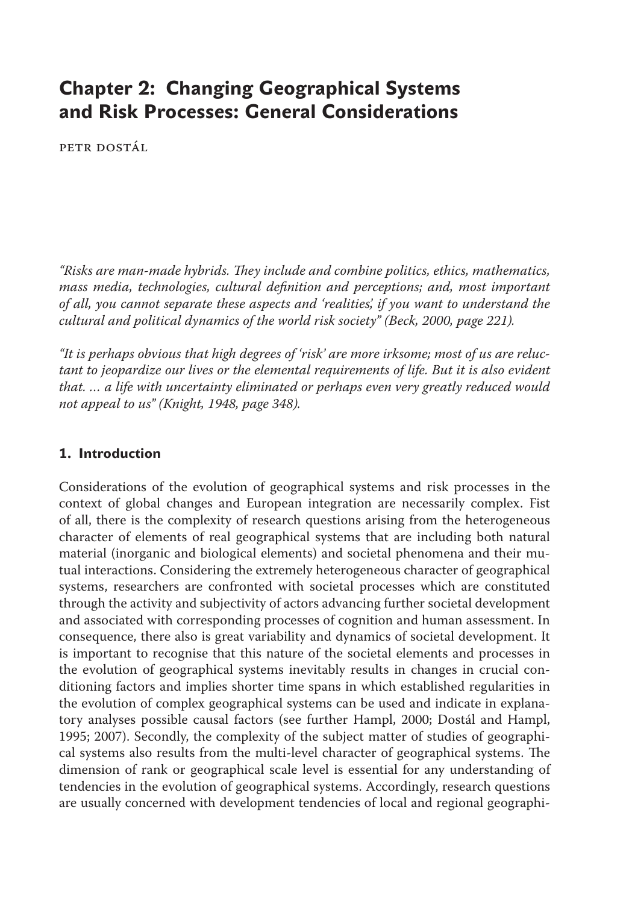## **Chapter 2: Changing Geographical Systems and Risk Processes: General Considerations**

PETR DOSTÁL

*"Risks are man-made hybrids. They include and combine politics, ethics, mathematics, mass media, technologies, cultural definition and perceptions; and, most important of all, you cannot separate these aspects and 'realities', if you want to understand the cultural and political dynamics of the world risk society" (Beck, 2000, page 221).*

*"It is perhaps obvious that high degrees of 'risk' are more irksome; most of us are reluctant to jeopardize our lives or the elemental requirements of life. But it is also evident that. … a life with uncertainty eliminated or perhaps even very greatly reduced would not appeal to us" (Knight, 1948, page 348).*

#### **1. Introduction**

Considerations of the evolution of geographical systems and risk processes in the context of global changes and European integration are necessarily complex. Fist of all, there is the complexity of research questions arising from the heterogeneous character of elements of real geographical systems that are including both natural material (inorganic and biological elements) and societal phenomena and their mutual interactions. Considering the extremely heterogeneous character of geographical systems, researchers are confronted with societal processes which are constituted through the activity and subjectivity of actors advancing further societal development and associated with corresponding processes of cognition and human assessment. In consequence, there also is great variability and dynamics of societal development. It is important to recognise that this nature of the societal elements and processes in the evolution of geographical systems inevitably results in changes in crucial conditioning factors and implies shorter time spans in which established regularities in the evolution of complex geographical systems can be used and indicate in explanatory analyses possible causal factors (see further Hampl, 2000; Dostál and Hampl, 1995; 2007). Secondly, the complexity of the subject matter of studies of geographical systems also results from the multi-level character of geographical systems. The dimension of rank or geographical scale level is essential for any understanding of tendencies in the evolution of geographical systems. Accordingly, research questions are usually concerned with development tendencies of local and regional geographi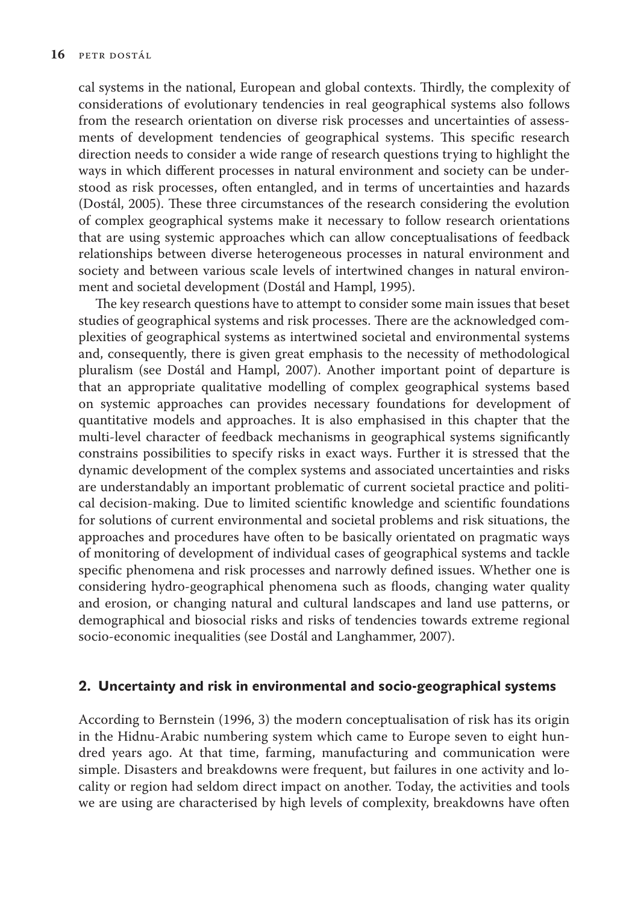cal systems in the national, European and global contexts. Thirdly, the complexity of considerations of evolutionary tendencies in real geographical systems also follows from the research orientation on diverse risk processes and uncertainties of assessments of development tendencies of geographical systems. This specific research direction needs to consider a wide range of research questions trying to highlight the ways in which different processes in natural environment and society can be understood as risk processes, often entangled, and in terms of uncertainties and hazards (Dostál, 2005). These three circumstances of the research considering the evolution of complex geographical systems make it necessary to follow research orientations that are using systemic approaches which can allow conceptualisations of feedback relationships between diverse heterogeneous processes in natural environment and society and between various scale levels of intertwined changes in natural environment and societal development (Dostál and Hampl, 1995).

The key research questions have to attempt to consider some main issues that beset studies of geographical systems and risk processes. There are the acknowledged complexities of geographical systems as intertwined societal and environmental systems and, consequently, there is given great emphasis to the necessity of methodological pluralism (see Dostál and Hampl, 2007). Another important point of departure is that an appropriate qualitative modelling of complex geographical systems based on systemic approaches can provides necessary foundations for development of quantitative models and approaches. It is also emphasised in this chapter that the multi-level character of feedback mechanisms in geographical systems significantly constrains possibilities to specify risks in exact ways. Further it is stressed that the dynamic development of the complex systems and associated uncertainties and risks are understandably an important problematic of current societal practice and political decision-making. Due to limited scientific knowledge and scientific foundations for solutions of current environmental and societal problems and risk situations, the approaches and procedures have often to be basically orientated on pragmatic ways of monitoring of development of individual cases of geographical systems and tackle specific phenomena and risk processes and narrowly defined issues. Whether one is considering hydro-geographical phenomena such as floods, changing water quality and erosion, or changing natural and cultural landscapes and land use patterns, or demographical and biosocial risks and risks of tendencies towards extreme regional socio-economic inequalities (see Dostál and Langhammer, 2007).

### **2. Uncertainty and risk in environmental and socio-geographical systems**

According to Bernstein (1996, 3) the modern conceptualisation of risk has its origin in the Hidnu-Arabic numbering system which came to Europe seven to eight hundred years ago. At that time, farming, manufacturing and communication were simple. Disasters and breakdowns were frequent, but failures in one activity and locality or region had seldom direct impact on another. Today, the activities and tools we are using are characterised by high levels of complexity, breakdowns have often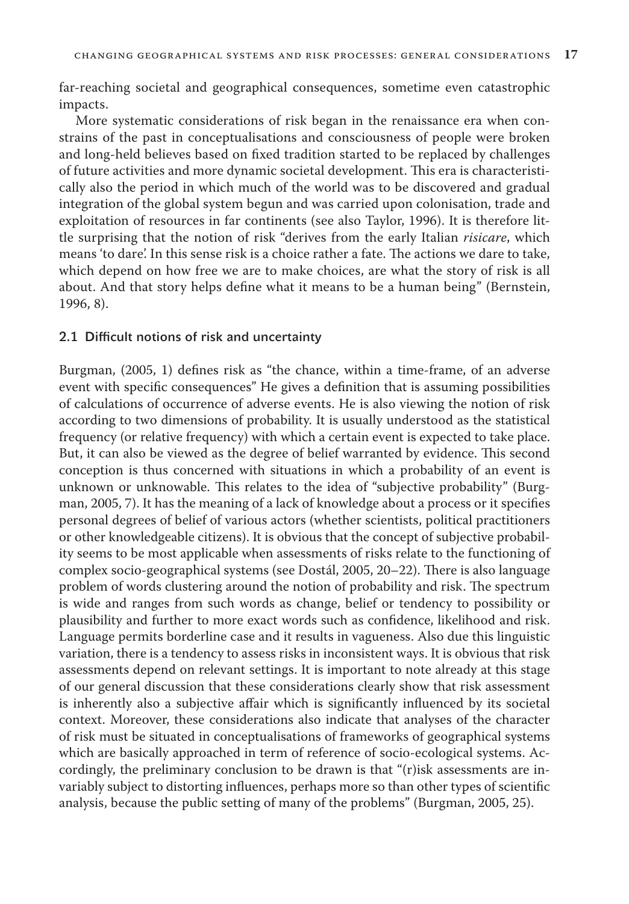far-reaching societal and geographical consequences, sometime even catastrophic impacts.

More systematic considerations of risk began in the renaissance era when constrains of the past in conceptualisations and consciousness of people were broken and long-held believes based on fixed tradition started to be replaced by challenges of future activities and more dynamic societal development. This era is characteristically also the period in which much of the world was to be discovered and gradual integration of the global system begun and was carried upon colonisation, trade and exploitation of resources in far continents (see also Taylor, 1996). It is therefore little surprising that the notion of risk "derives from the early Italian *risicare*, which means 'to dare'. In this sense risk is a choice rather a fate. The actions we dare to take, which depend on how free we are to make choices, are what the story of risk is all about. And that story helps define what it means to be a human being" (Bernstein, 1996, 8).

#### 2.1 Difficult notions of risk and uncertainty

Burgman, (2005, 1) defines risk as "the chance, within a time-frame, of an adverse event with specific consequences" He gives a definition that is assuming possibilities of calculations of occurrence of adverse events. He is also viewing the notion of risk according to two dimensions of probability. It is usually understood as the statistical frequency (or relative frequency) with which a certain event is expected to take place. But, it can also be viewed as the degree of belief warranted by evidence. This second conception is thus concerned with situations in which a probability of an event is unknown or unknowable. This relates to the idea of "subjective probability" (Burgman, 2005, 7). It has the meaning of a lack of knowledge about a process or it specifies personal degrees of belief of various actors (whether scientists, political practitioners or other knowledgeable citizens). It is obvious that the concept of subjective probability seems to be most applicable when assessments of risks relate to the functioning of complex socio-geographical systems (see Dostál, 2005, 20–22). There is also language problem of words clustering around the notion of probability and risk. The spectrum is wide and ranges from such words as change, belief or tendency to possibility or plausibility and further to more exact words such as confidence, likelihood and risk. Language permits borderline case and it results in vagueness. Also due this linguistic variation, there is a tendency to assess risks in inconsistent ways. It is obvious that risk assessments depend on relevant settings. It is important to note already at this stage of our general discussion that these considerations clearly show that risk assessment is inherently also a subjective affair which is significantly influenced by its societal context. Moreover, these considerations also indicate that analyses of the character of risk must be situated in conceptualisations of frameworks of geographical systems which are basically approached in term of reference of socio-ecological systems. Accordingly, the preliminary conclusion to be drawn is that " $(r)$ isk assessments are invariably subject to distorting influences, perhaps more so than other types of scientific analysis, because the public setting of many of the problems" (Burgman, 2005, 25).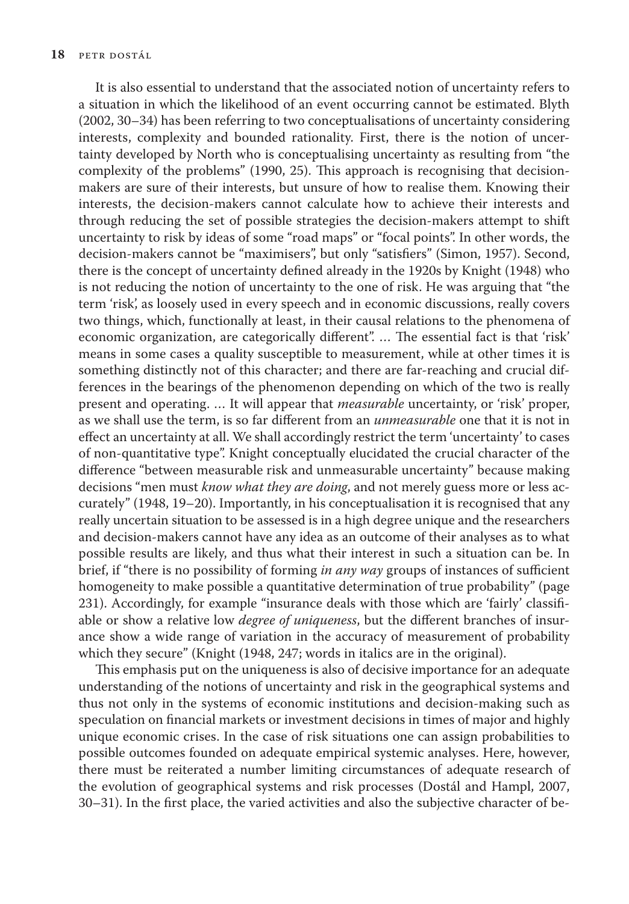It is also essential to understand that the associated notion of uncertainty refers to a situation in which the likelihood of an event occurring cannot be estimated. Blyth (2002, 30–34) has been referring to two conceptualisations of uncertainty considering interests, complexity and bounded rationality. First, there is the notion of uncertainty developed by North who is conceptualising uncertainty as resulting from "the complexity of the problems" (1990, 25). This approach is recognising that decisionmakers are sure of their interests, but unsure of how to realise them. Knowing their interests, the decision-makers cannot calculate how to achieve their interests and through reducing the set of possible strategies the decision-makers attempt to shift uncertainty to risk by ideas of some "road maps" or "focal points". In other words, the decision-makers cannot be "maximisers", but only "satisfiers" (Simon, 1957). Second, there is the concept of uncertainty defined already in the 1920s by Knight (1948) who is not reducing the notion of uncertainty to the one of risk. He was arguing that "the term 'risk', as loosely used in every speech and in economic discussions, really covers two things, which, functionally at least, in their causal relations to the phenomena of economic organization, are categorically different". ... The essential fact is that 'risk' means in some cases a quality susceptible to measurement, while at other times it is something distinctly not of this character; and there are far-reaching and crucial differences in the bearings of the phenomenon depending on which of the two is really present and operating. … It will appear that *measurable* uncertainty, or 'risk' proper, as we shall use the term, is so far different from an *unmeasurable* one that it is not in effect an uncertainty at all. We shall accordingly restrict the term 'uncertainty' to cases of non-quantitative type". Knight conceptually elucidated the crucial character of the difference "between measurable risk and unmeasurable uncertainty" because making decisions "men must *know what they are doing*, and not merely guess more or less accurately" (1948, 19–20). Importantly, in his conceptualisation it is recognised that any really uncertain situation to be assessed is in a high degree unique and the researchers and decision-makers cannot have any idea as an outcome of their analyses as to what possible results are likely, and thus what their interest in such a situation can be. In brief, if "there is no possibility of forming *in any way* groups of instances of sufficient homogeneity to make possible a quantitative determination of true probability" (page 231). Accordingly, for example "insurance deals with those which are 'fairly' classifiable or show a relative low *degree of uniqueness*, but the different branches of insurance show a wide range of variation in the accuracy of measurement of probability which they secure" (Knight (1948, 247; words in italics are in the original).

This emphasis put on the uniqueness is also of decisive importance for an adequate understanding of the notions of uncertainty and risk in the geographical systems and thus not only in the systems of economic institutions and decision-making such as speculation on financial markets or investment decisions in times of major and highly unique economic crises. In the case of risk situations one can assign probabilities to possible outcomes founded on adequate empirical systemic analyses. Here, however, there must be reiterated a number limiting circumstances of adequate research of the evolution of geographical systems and risk processes (Dostál and Hampl, 2007, 30–31). In the first place, the varied activities and also the subjective character of be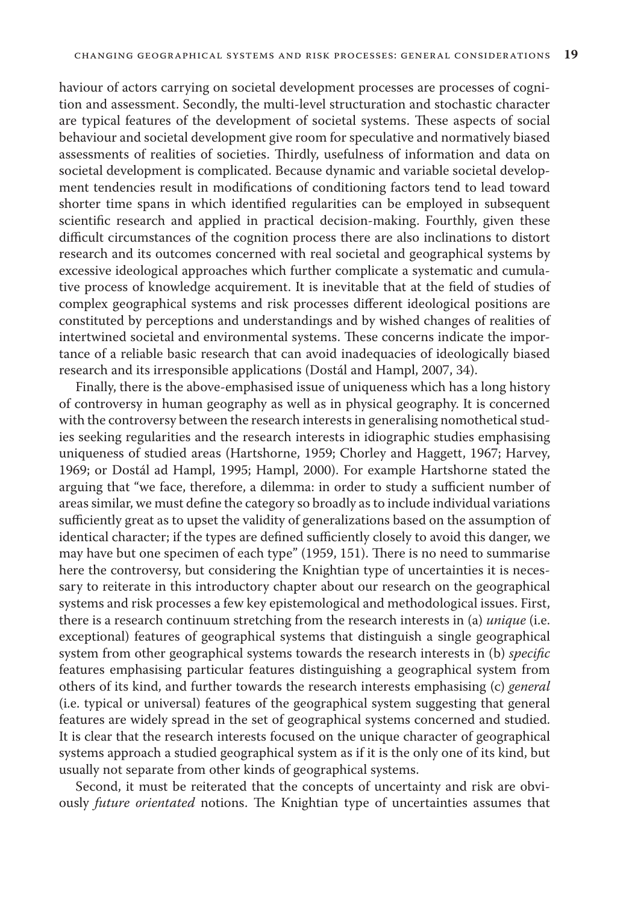haviour of actors carrying on societal development processes are processes of cognition and assessment. Secondly, the multi-level structuration and stochastic character are typical features of the development of societal systems. These aspects of social behaviour and societal development give room for speculative and normatively biased assessments of realities of societies. Thirdly, usefulness of information and data on societal development is complicated. Because dynamic and variable societal development tendencies result in modifications of conditioning factors tend to lead toward shorter time spans in which identified regularities can be employed in subsequent scientific research and applied in practical decision-making. Fourthly, given these difficult circumstances of the cognition process there are also inclinations to distort research and its outcomes concerned with real societal and geographical systems by excessive ideological approaches which further complicate a systematic and cumulative process of knowledge acquirement. It is inevitable that at the field of studies of complex geographical systems and risk processes different ideological positions are constituted by perceptions and understandings and by wished changes of realities of intertwined societal and environmental systems. These concerns indicate the importance of a reliable basic research that can avoid inadequacies of ideologically biased research and its irresponsible applications (Dostál and Hampl, 2007, 34).

Finally, there is the above-emphasised issue of uniqueness which has a long history of controversy in human geography as well as in physical geography. It is concerned with the controversy between the research interests in generalising nomothetical studies seeking regularities and the research interests in idiographic studies emphasising uniqueness of studied areas (Hartshorne, 1959; Chorley and Haggett, 1967; Harvey, 1969; or Dostál ad Hampl, 1995; Hampl, 2000). For example Hartshorne stated the arguing that "we face, therefore, a dilemma: in order to study a sufficient number of areas similar, we must define the category so broadly as to include individual variations sufficiently great as to upset the validity of generalizations based on the assumption of identical character; if the types are defined sufficiently closely to avoid this danger, we may have but one specimen of each type" (1959, 151). There is no need to summarise here the controversy, but considering the Knightian type of uncertainties it is necessary to reiterate in this introductory chapter about our research on the geographical systems and risk processes a few key epistemological and methodological issues. First, there is a research continuum stretching from the research interests in (a) *unique* (i.e. exceptional) features of geographical systems that distinguish a single geographical system from other geographical systems towards the research interests in (b) *specific* features emphasising particular features distinguishing a geographical system from others of its kind, and further towards the research interests emphasising (c) *general* (i.e. typical or universal) features of the geographical system suggesting that general features are widely spread in the set of geographical systems concerned and studied. It is clear that the research interests focused on the unique character of geographical systems approach a studied geographical system as if it is the only one of its kind, but usually not separate from other kinds of geographical systems.

Second, it must be reiterated that the concepts of uncertainty and risk are obviously *future orientated* notions. The Knightian type of uncertainties assumes that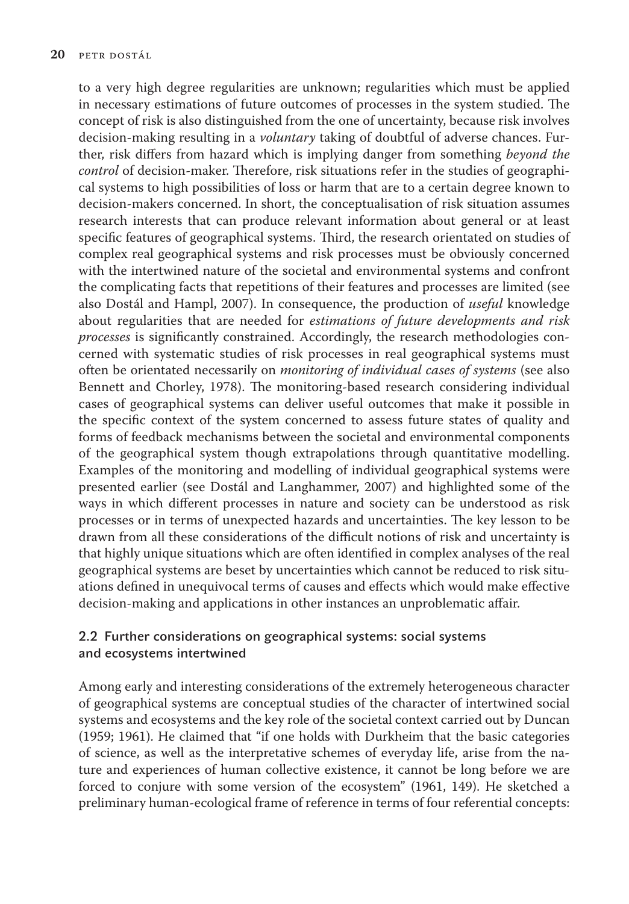to a very high degree regularities are unknown; regularities which must be applied in necessary estimations of future outcomes of processes in the system studied. The concept of risk is also distinguished from the one of uncertainty, because risk involves decision-making resulting in a *voluntary* taking of doubtful of adverse chances. Further, risk differs from hazard which is implying danger from something *beyond the control* of decision-maker. Therefore, risk situations refer in the studies of geographical systems to high possibilities of loss or harm that are to a certain degree known to decision-makers concerned. In short, the conceptualisation of risk situation assumes research interests that can produce relevant information about general or at least specific features of geographical systems. Third, the research orientated on studies of complex real geographical systems and risk processes must be obviously concerned with the intertwined nature of the societal and environmental systems and confront the complicating facts that repetitions of their features and processes are limited (see also Dostál and Hampl, 2007). In consequence, the production of *useful* knowledge about regularities that are needed for *estimations of future developments and risk processes* is significantly constrained. Accordingly, the research methodologies concerned with systematic studies of risk processes in real geographical systems must often be orientated necessarily on *monitoring of individual cases of systems* (see also Bennett and Chorley, 1978). The monitoring-based research considering individual cases of geographical systems can deliver useful outcomes that make it possible in the specific context of the system concerned to assess future states of quality and forms of feedback mechanisms between the societal and environmental components of the geographical system though extrapolations through quantitative modelling. Examples of the monitoring and modelling of individual geographical systems were presented earlier (see Dostál and Langhammer, 2007) and highlighted some of the ways in which different processes in nature and society can be understood as risk processes or in terms of unexpected hazards and uncertainties. The key lesson to be drawn from all these considerations of the difficult notions of risk and uncertainty is that highly unique situations which are often identified in complex analyses of the real geographical systems are beset by uncertainties which cannot be reduced to risk situations defined in unequivocal terms of causes and effects which would make effective decision-making and applications in other instances an unproblematic affair.

### 2.2 Further considerations on geographical systems: social systems and ecosystems intertwined

Among early and interesting considerations of the extremely heterogeneous character of geographical systems are conceptual studies of the character of intertwined social systems and ecosystems and the key role of the societal context carried out by Duncan (1959; 1961). He claimed that "if one holds with Durkheim that the basic categories of science, as well as the interpretative schemes of everyday life, arise from the nature and experiences of human collective existence, it cannot be long before we are forced to conjure with some version of the ecosystem" (1961, 149). He sketched a preliminary human-ecological frame of reference in terms of four referential concepts: